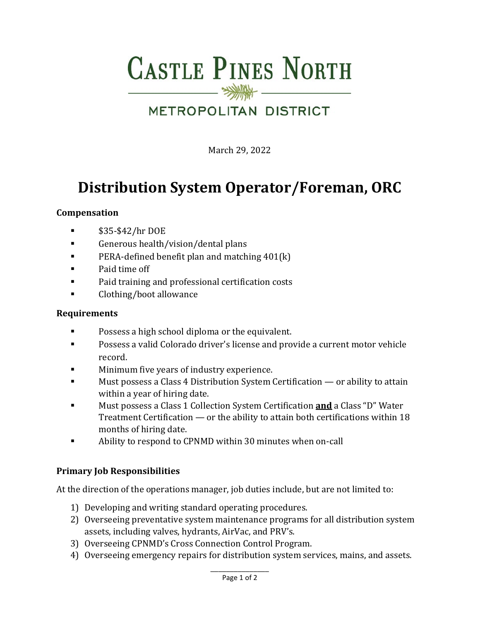# **CASTLE PINES NORTH**

# METROPOLITAN DISTRICT

March 29, 2022

# **Distribution System Operator/Foreman, ORC**

#### **Compensation**

- $\bullet$  \$35-\$42/hr DOE
- **Example 1** Generous health/vision/dental plans
- **PERA-defined benefit plan and matching 401(k)**
- **Paid time off**
- Paid training and professional certification costs
- **Example 2** Clothing/boot allowance

#### **Requirements**

- **Possess a high school diploma or the equivalent.**
- **Possess a valid Colorado driver's license and provide a current motor vehicle** record.
- **Minimum five years of industry experience.**<br>Must possess a Class 4 Distribution System (
- Must possess a Class 4 Distribution System Certification or ability to attain within a year of hiring date.
- Must possess a Class 1 Collection System Certification **and** a Class "D" Water Treatment Certification — or the ability to attain both certifications within 18 months of hiring date.
- Ability to respond to CPNMD within 30 minutes when on-call

### **Primary Job Responsibilities**

At the direction of the operations manager, job duties include, but are not limited to:

- 1) Developing and writing standard operating procedures.
- 2) Overseeing preventative system maintenance programs for all distribution system assets, including valves, hydrants, AirVac, and PRV's.
- 3) Overseeing CPNMD's Cross Connection Control Program.
- 4) Overseeing emergency repairs for distribution system services, mains, and assets.